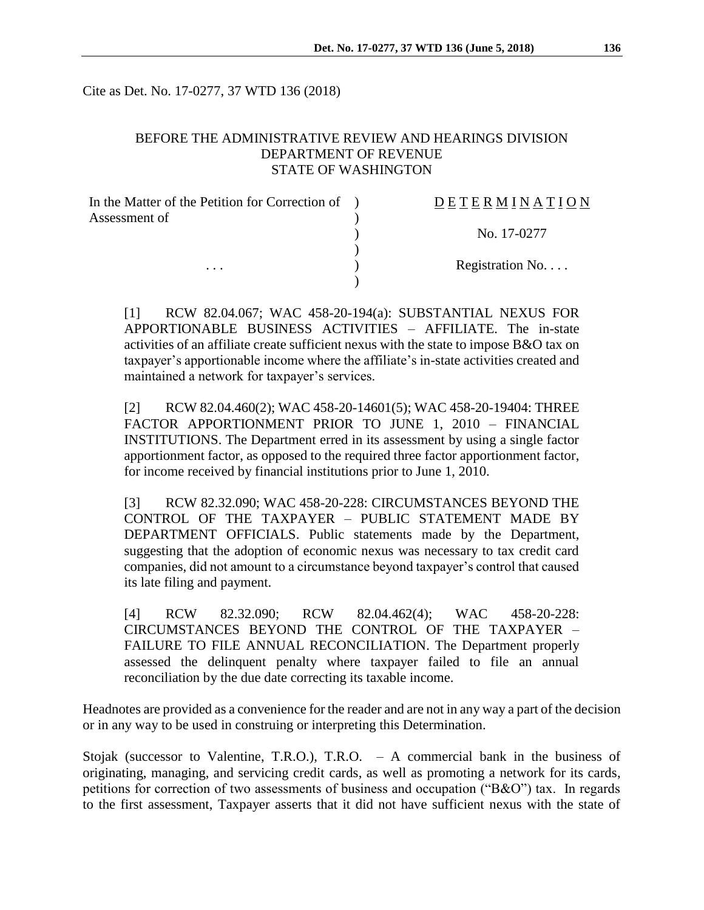Cite as Det. No. 17-0277, 37 WTD 136 (2018)

## BEFORE THE ADMINISTRATIVE REVIEW AND HEARINGS DIVISION DEPARTMENT OF REVENUE STATE OF WASHINGTON

| In the Matter of the Petition for Correction of | DETERMINATION   |
|-------------------------------------------------|-----------------|
| Assessment of                                   |                 |
|                                                 | No. 17-0277     |
|                                                 |                 |
| $\cdots$                                        | Registration No |
|                                                 |                 |

[1] RCW 82.04.067; WAC 458-20-194(a): SUBSTANTIAL NEXUS FOR APPORTIONABLE BUSINESS ACTIVITIES – AFFILIATE. The in-state activities of an affiliate create sufficient nexus with the state to impose B&O tax on taxpayer's apportionable income where the affiliate's in-state activities created and maintained a network for taxpayer's services.

[2] RCW 82.04.460(2); WAC 458-20-14601(5); WAC 458-20-19404: THREE FACTOR APPORTIONMENT PRIOR TO JUNE 1, 2010 – FINANCIAL INSTITUTIONS. The Department erred in its assessment by using a single factor apportionment factor, as opposed to the required three factor apportionment factor, for income received by financial institutions prior to June 1, 2010.

[3] RCW 82.32.090; WAC 458-20-228: CIRCUMSTANCES BEYOND THE CONTROL OF THE TAXPAYER – PUBLIC STATEMENT MADE BY DEPARTMENT OFFICIALS. Public statements made by the Department, suggesting that the adoption of economic nexus was necessary to tax credit card companies, did not amount to a circumstance beyond taxpayer's control that caused its late filing and payment.

[4] RCW 82.32.090; RCW 82.04.462(4); WAC 458-20-228: CIRCUMSTANCES BEYOND THE CONTROL OF THE TAXPAYER – FAILURE TO FILE ANNUAL RECONCILIATION. The Department properly assessed the delinquent penalty where taxpayer failed to file an annual reconciliation by the due date correcting its taxable income.

Headnotes are provided as a convenience for the reader and are not in any way a part of the decision or in any way to be used in construing or interpreting this Determination.

Stojak (successor to Valentine, T.R.O.), T.R.O. – A commercial bank in the business of originating, managing, and servicing credit cards, as well as promoting a network for its cards, petitions for correction of two assessments of business and occupation ("B&O") tax. In regards to the first assessment, Taxpayer asserts that it did not have sufficient nexus with the state of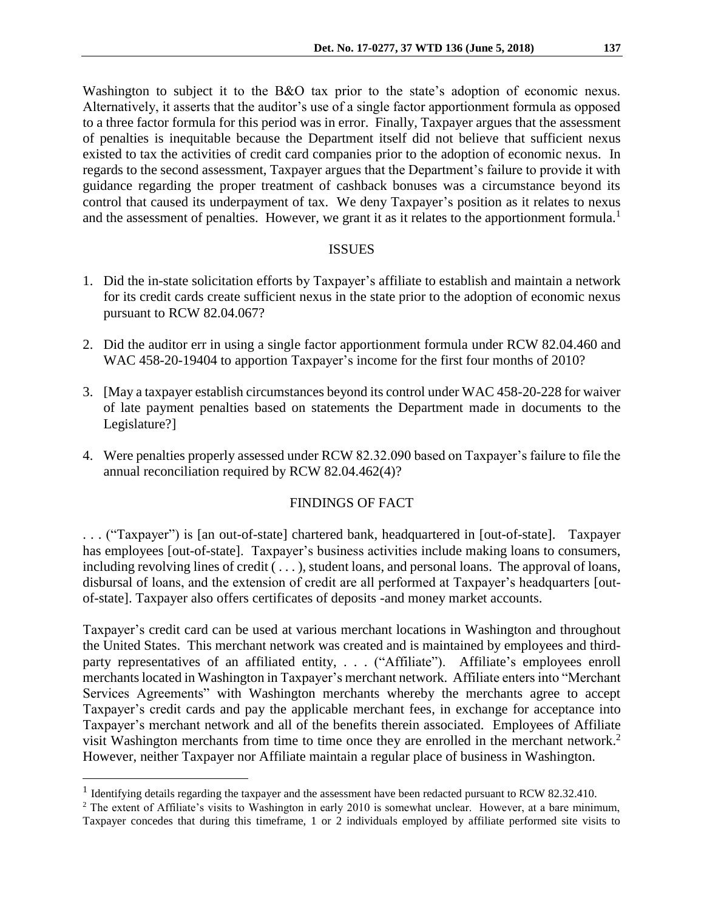Washington to subject it to the B&O tax prior to the state's adoption of economic nexus. Alternatively, it asserts that the auditor's use of a single factor apportionment formula as opposed to a three factor formula for this period was in error. Finally, Taxpayer argues that the assessment of penalties is inequitable because the Department itself did not believe that sufficient nexus existed to tax the activities of credit card companies prior to the adoption of economic nexus. In regards to the second assessment, Taxpayer argues that the Department's failure to provide it with guidance regarding the proper treatment of cashback bonuses was a circumstance beyond its control that caused its underpayment of tax. We deny Taxpayer's position as it relates to nexus and the assessment of penalties. However, we grant it as it relates to the apportionment formula.<sup>1</sup>

#### ISSUES

- 1. Did the in-state solicitation efforts by Taxpayer's affiliate to establish and maintain a network for its credit cards create sufficient nexus in the state prior to the adoption of economic nexus pursuant to RCW 82.04.067?
- 2. Did the auditor err in using a single factor apportionment formula under RCW 82.04.460 and WAC 458-20-19404 to apportion Taxpayer's income for the first four months of 2010?
- 3. [May a taxpayer establish circumstances beyond its control under WAC 458-20-228 for waiver of late payment penalties based on statements the Department made in documents to the Legislature?]
- 4. Were penalties properly assessed under RCW 82.32.090 based on Taxpayer's failure to file the annual reconciliation required by RCW 82.04.462(4)?

### FINDINGS OF FACT

. . . ("Taxpayer") is [an out-of-state] chartered bank, headquartered in [out-of-state]. Taxpayer has employees [out-of-state]. Taxpayer's business activities include making loans to consumers, including revolving lines of credit (...), student loans, and personal loans. The approval of loans, disbursal of loans, and the extension of credit are all performed at Taxpayer's headquarters [outof-state]. Taxpayer also offers certificates of deposits -and money market accounts.

Taxpayer's credit card can be used at various merchant locations in Washington and throughout the United States. This merchant network was created and is maintained by employees and thirdparty representatives of an affiliated entity, . . . ("Affiliate"). Affiliate's employees enroll merchants located in Washington in Taxpayer's merchant network. Affiliate enters into "Merchant Services Agreements" with Washington merchants whereby the merchants agree to accept Taxpayer's credit cards and pay the applicable merchant fees, in exchange for acceptance into Taxpayer's merchant network and all of the benefits therein associated. Employees of Affiliate visit Washington merchants from time to time once they are enrolled in the merchant network.<sup>2</sup> However, neither Taxpayer nor Affiliate maintain a regular place of business in Washington.

 $\overline{a}$ 

<sup>&</sup>lt;sup>1</sup> Identifying details regarding the taxpayer and the assessment have been redacted pursuant to RCW 82.32.410.

<sup>&</sup>lt;sup>2</sup> The extent of Affiliate's visits to Washington in early 2010 is somewhat unclear. However, at a bare minimum, Taxpayer concedes that during this timeframe, 1 or 2 individuals employed by affiliate performed site visits to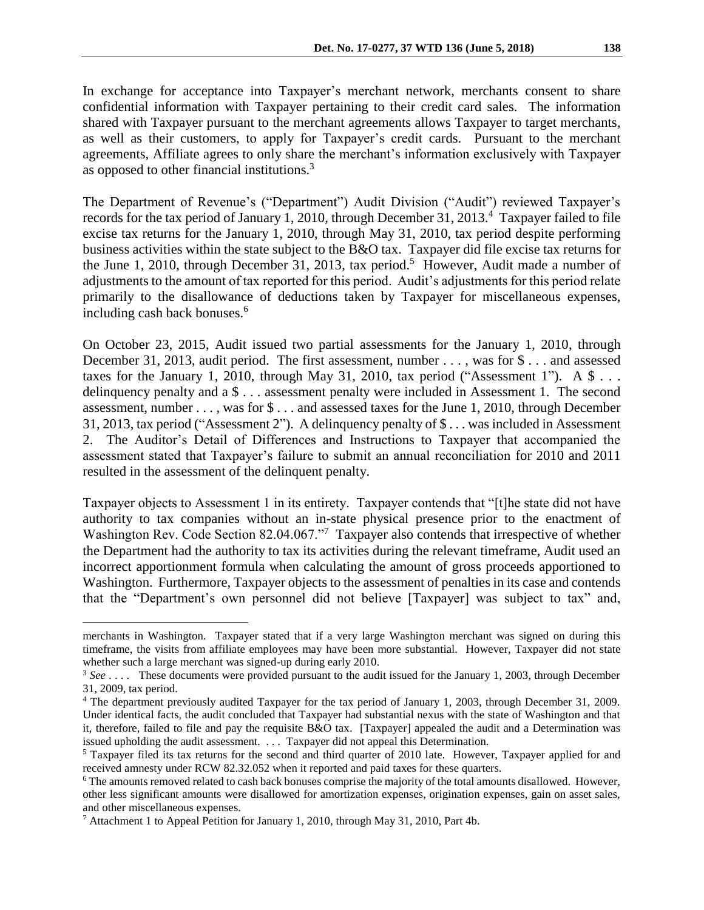In exchange for acceptance into Taxpayer's merchant network, merchants consent to share confidential information with Taxpayer pertaining to their credit card sales. The information shared with Taxpayer pursuant to the merchant agreements allows Taxpayer to target merchants, as well as their customers, to apply for Taxpayer's credit cards. Pursuant to the merchant agreements, Affiliate agrees to only share the merchant's information exclusively with Taxpayer as opposed to other financial institutions.<sup>3</sup>

The Department of Revenue's ("Department") Audit Division ("Audit") reviewed Taxpayer's records for the tax period of January 1, 2010, through December 31, 2013.<sup>4</sup> Taxpayer failed to file excise tax returns for the January 1, 2010, through May 31, 2010, tax period despite performing business activities within the state subject to the B&O tax. Taxpayer did file excise tax returns for the June 1, 2010, through December 31, 2013, tax period.<sup>5</sup> However, Audit made a number of adjustments to the amount of tax reported for this period. Audit's adjustments for this period relate primarily to the disallowance of deductions taken by Taxpayer for miscellaneous expenses, including cash back bonuses.<sup>6</sup>

On October 23, 2015, Audit issued two partial assessments for the January 1, 2010, through December 31, 2013, audit period. The first assessment, number . . . , was for \$ . . . and assessed taxes for the January 1, 2010, through May 31, 2010, tax period ("Assessment 1"). A  $\$\dots$ delinquency penalty and a \$ . . . assessment penalty were included in Assessment 1. The second assessment, number . . . , was for \$ . . . and assessed taxes for the June 1, 2010, through December 31, 2013, tax period ("Assessment 2"). A delinquency penalty of \$ . . . was included in Assessment 2. The Auditor's Detail of Differences and Instructions to Taxpayer that accompanied the assessment stated that Taxpayer's failure to submit an annual reconciliation for 2010 and 2011 resulted in the assessment of the delinquent penalty.

Taxpayer objects to Assessment 1 in its entirety. Taxpayer contends that "[t]he state did not have authority to tax companies without an in-state physical presence prior to the enactment of Washington Rev. Code Section 82.04.067."<sup>7</sup> Taxpayer also contends that irrespective of whether the Department had the authority to tax its activities during the relevant timeframe, Audit used an incorrect apportionment formula when calculating the amount of gross proceeds apportioned to Washington. Furthermore, Taxpayer objects to the assessment of penalties in its case and contends that the "Department's own personnel did not believe [Taxpayer] was subject to tax" and,

 $\overline{a}$ 

merchants in Washington. Taxpayer stated that if a very large Washington merchant was signed on during this timeframe, the visits from affiliate employees may have been more substantial. However, Taxpayer did not state whether such a large merchant was signed-up during early 2010.

<sup>3</sup> *See* . . . . These documents were provided pursuant to the audit issued for the January 1, 2003, through December 31, 2009, tax period.

<sup>&</sup>lt;sup>4</sup> The department previously audited Taxpayer for the tax period of January 1, 2003, through December 31, 2009. Under identical facts, the audit concluded that Taxpayer had substantial nexus with the state of Washington and that it, therefore, failed to file and pay the requisite B&O tax. [Taxpayer] appealed the audit and a Determination was issued upholding the audit assessment. . . . Taxpayer did not appeal this Determination.

<sup>&</sup>lt;sup>5</sup> Taxpayer filed its tax returns for the second and third quarter of 2010 late. However, Taxpayer applied for and received amnesty under RCW 82.32.052 when it reported and paid taxes for these quarters.

<sup>6</sup> The amounts removed related to cash back bonuses comprise the majority of the total amounts disallowed. However, other less significant amounts were disallowed for amortization expenses, origination expenses, gain on asset sales, and other miscellaneous expenses.

<sup>7</sup> Attachment 1 to Appeal Petition for January 1, 2010, through May 31, 2010, Part 4b.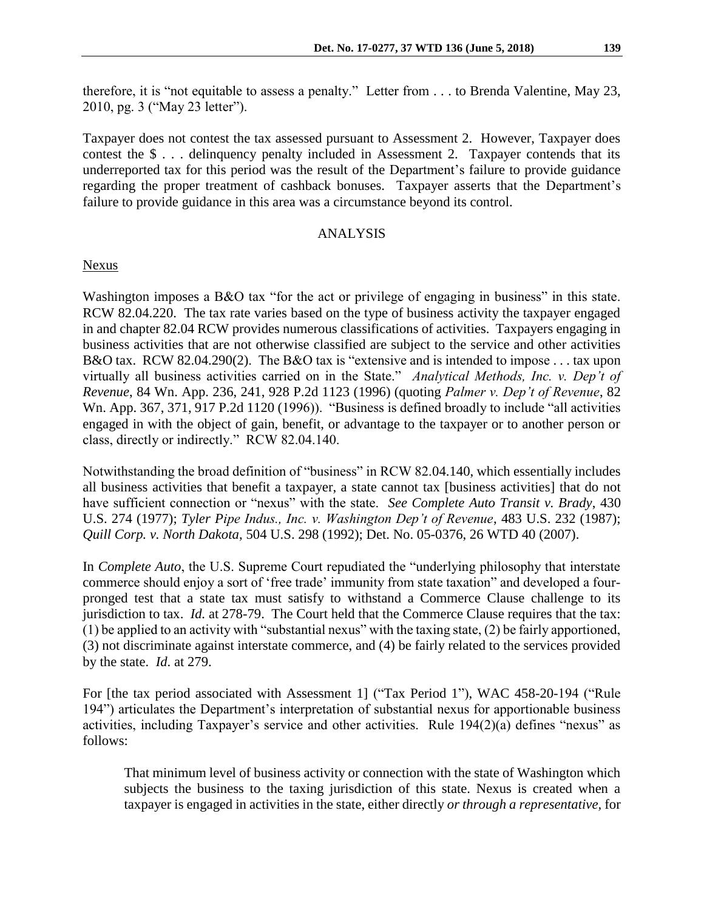therefore, it is "not equitable to assess a penalty." Letter from . . . to Brenda Valentine, May 23, 2010, pg. 3 ("May 23 letter").

Taxpayer does not contest the tax assessed pursuant to Assessment 2. However, Taxpayer does contest the \$ . . . delinquency penalty included in Assessment 2. Taxpayer contends that its underreported tax for this period was the result of the Department's failure to provide guidance regarding the proper treatment of cashback bonuses. Taxpayer asserts that the Department's failure to provide guidance in this area was a circumstance beyond its control.

### ANALYSIS

Nexus

Washington imposes a B&O tax "for the act or privilege of engaging in business" in this state. RCW 82.04.220. The tax rate varies based on the type of business activity the taxpayer engaged in and chapter 82.04 RCW provides numerous classifications of activities. Taxpayers engaging in business activities that are not otherwise classified are subject to the service and other activities B&O tax. RCW 82.04.290(2). The B&O tax is "extensive and is intended to impose . . . tax upon virtually all business activities carried on in the State." *Analytical Methods, Inc. v. Dep't of Revenue*, 84 Wn. App. 236, 241, 928 P.2d 1123 (1996) (quoting *Palmer v. Dep't of Revenue*, 82 Wn. App. 367, 371, 917 P.2d 1120 (1996)). "Business is defined broadly to include "all activities engaged in with the object of gain, benefit, or advantage to the taxpayer or to another person or class, directly or indirectly." RCW 82.04.140.

Notwithstanding the broad definition of "business" in RCW 82.04.140, which essentially includes all business activities that benefit a taxpayer, a state cannot tax [business activities] that do not have sufficient connection or "nexus" with the state. *See Complete Auto Transit v. Brady*, 430 U.S. 274 (1977); *Tyler Pipe Indus., Inc. v. Washington Dep't of Revenue*, 483 U.S. 232 (1987); *Quill Corp. v. North Dakota*, 504 U.S. 298 (1992); Det. No. 05-0376, 26 WTD 40 (2007).

In *Complete Auto*, the U.S. Supreme Court repudiated the "underlying philosophy that interstate commerce should enjoy a sort of 'free trade' immunity from state taxation" and developed a fourpronged test that a state tax must satisfy to withstand a Commerce Clause challenge to its jurisdiction to tax. *Id.* at 278-79. The Court held that the Commerce Clause requires that the tax:  $(1)$  be applied to an activity with "substantial nexus" with the taxing state,  $(2)$  be fairly apportioned, (3) not discriminate against interstate commerce, and (4) be fairly related to the services provided by the state. *Id*. at 279.

For [the tax period associated with Assessment 1] ("Tax Period 1"), WAC 458-20-194 ("Rule 194") articulates the Department's interpretation of substantial nexus for apportionable business activities, including Taxpayer's service and other activities. Rule 194(2)(a) defines "nexus" as follows:

That minimum level of business activity or connection with the state of Washington which subjects the business to the taxing jurisdiction of this state. Nexus is created when a taxpayer is engaged in activities in the state, either directly *or through a representative,* for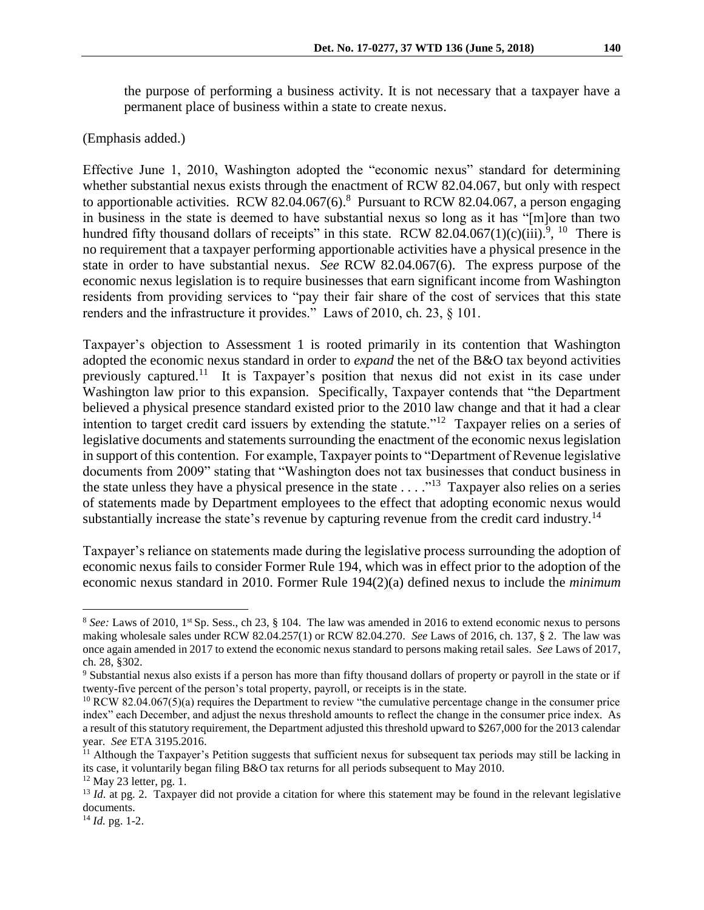the purpose of performing a business activity. It is not necessary that a taxpayer have a permanent place of business within a state to create nexus.

(Emphasis added.)

Effective June 1, 2010, Washington adopted the "economic nexus" standard for determining whether substantial nexus exists through the enactment of RCW 82.04.067, but only with respect to apportionable activities. RCW 82.04.067 $(6)$ .<sup>8</sup> Pursuant to RCW 82.04.067, a person engaging in business in the state is deemed to have substantial nexus so long as it has "[m]ore than two hundred fifty thousand dollars of receipts" in this state. RCW 82.04.067(1)(c)(iii).<sup>9</sup>, <sup>10</sup> There is no requirement that a taxpayer performing apportionable activities have a physical presence in the state in order to have substantial nexus. *See* RCW 82.04.067(6). The express purpose of the economic nexus legislation is to require businesses that earn significant income from Washington residents from providing services to "pay their fair share of the cost of services that this state renders and the infrastructure it provides." Laws of 2010, ch. 23, § 101.

Taxpayer's objection to Assessment 1 is rooted primarily in its contention that Washington adopted the economic nexus standard in order to *expand* the net of the B&O tax beyond activities previously captured.<sup>11</sup> It is Taxpayer's position that nexus did not exist in its case under Washington law prior to this expansion. Specifically, Taxpayer contends that "the Department believed a physical presence standard existed prior to the 2010 law change and that it had a clear intention to target credit card issuers by extending the statute."<sup>12</sup> Taxpayer relies on a series of legislative documents and statements surrounding the enactment of the economic nexus legislation in support of this contention. For example, Taxpayer points to "Department of Revenue legislative documents from 2009" stating that "Washington does not tax businesses that conduct business in the state unless they have a physical presence in the state  $\dots$ ."<sup>13</sup> Taxpayer also relies on a series of statements made by Department employees to the effect that adopting economic nexus would substantially increase the state's revenue by capturing revenue from the credit card industry.<sup>14</sup>

Taxpayer's reliance on statements made during the legislative process surrounding the adoption of economic nexus fails to consider Former Rule 194, which was in effect prior to the adoption of the economic nexus standard in 2010. Former Rule 194(2)(a) defined nexus to include the *minimum* 

 $\overline{a}$ 

<sup>8</sup> *See:* Laws of 2010, 1st Sp. Sess., ch 23, § 104. The law was amended in 2016 to extend economic nexus to persons making wholesale sales under RCW 82.04.257(1) or RCW 82.04.270. *See* Laws of 2016, ch. 137, § 2. The law was once again amended in 2017 to extend the economic nexus standard to persons making retail sales. *See* Laws of 2017, ch. 28, §302.

<sup>9</sup> Substantial nexus also exists if a person has more than fifty thousand dollars of property or payroll in the state or if twenty-five percent of the person's total property, payroll, or receipts is in the state.

<sup>&</sup>lt;sup>10</sup> RCW 82.04.067(5)(a) requires the Department to review "the cumulative percentage change in the consumer price index" each December, and adjust the nexus threshold amounts to reflect the change in the consumer price index. As a result of this statutory requirement, the Department adjusted this threshold upward to \$267,000 for the 2013 calendar year. *See* ETA 3195.2016.

<sup>&</sup>lt;sup>11</sup> Although the Taxpayer's Petition suggests that sufficient nexus for subsequent tax periods may still be lacking in its case, it voluntarily began filing B&O tax returns for all periods subsequent to May 2010.  $12$  May 23 letter, pg. 1.

<sup>&</sup>lt;sup>13</sup> *Id.* at pg. 2. Taxpayer did not provide a citation for where this statement may be found in the relevant legislative documents.

<sup>14</sup> *Id.* pg. 1-2.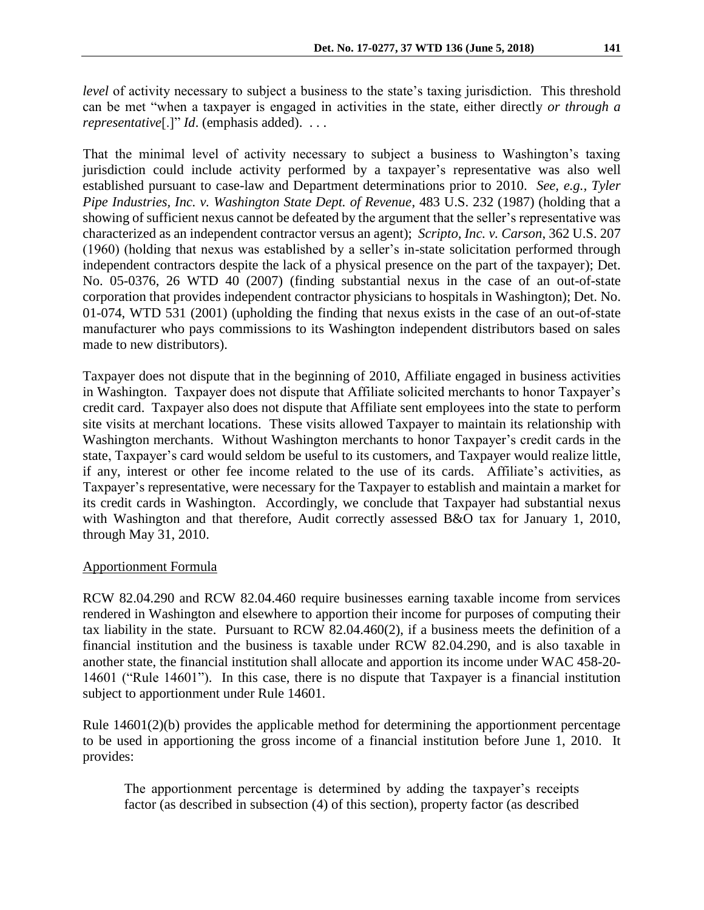*level* of activity necessary to subject a business to the state's taxing jurisdiction. This threshold can be met "when a taxpayer is engaged in activities in the state, either directly *or through a representative*[.]" *Id*. (emphasis added). . . .

That the minimal level of activity necessary to subject a business to Washington's taxing jurisdiction could include activity performed by a taxpayer's representative was also well established pursuant to case-law and Department determinations prior to 2010. *See, e.g., Tyler Pipe Industries, Inc. v. Washington State Dept. of Revenue*, 483 U.S. 232 (1987) (holding that a showing of sufficient nexus cannot be defeated by the argument that the seller's representative was characterized as an independent contractor versus an agent); *Scripto, Inc. v. Carson*, 362 U.S. 207 (1960) (holding that nexus was established by a seller's in-state solicitation performed through independent contractors despite the lack of a physical presence on the part of the taxpayer); Det. No. 05-0376, 26 WTD 40 (2007) (finding substantial nexus in the case of an out-of-state corporation that provides independent contractor physicians to hospitals in Washington); Det. No. 01-074, WTD 531 (2001) (upholding the finding that nexus exists in the case of an out-of-state manufacturer who pays commissions to its Washington independent distributors based on sales made to new distributors).

Taxpayer does not dispute that in the beginning of 2010, Affiliate engaged in business activities in Washington. Taxpayer does not dispute that Affiliate solicited merchants to honor Taxpayer's credit card. Taxpayer also does not dispute that Affiliate sent employees into the state to perform site visits at merchant locations. These visits allowed Taxpayer to maintain its relationship with Washington merchants. Without Washington merchants to honor Taxpayer's credit cards in the state, Taxpayer's card would seldom be useful to its customers, and Taxpayer would realize little, if any, interest or other fee income related to the use of its cards. Affiliate's activities, as Taxpayer's representative, were necessary for the Taxpayer to establish and maintain a market for its credit cards in Washington. Accordingly, we conclude that Taxpayer had substantial nexus with Washington and that therefore, Audit correctly assessed B&O tax for January 1, 2010, through May 31, 2010.

## Apportionment Formula

RCW 82.04.290 and RCW 82.04.460 require businesses earning taxable income from services rendered in Washington and elsewhere to apportion their income for purposes of computing their tax liability in the state. Pursuant to RCW 82.04.460(2), if a business meets the definition of a financial institution and the business is taxable under RCW 82.04.290, and is also taxable in another state, the financial institution shall allocate and apportion its income under WAC 458-20- 14601 ("Rule 14601"). In this case, there is no dispute that Taxpayer is a financial institution subject to apportionment under Rule 14601.

Rule 14601(2)(b) provides the applicable method for determining the apportionment percentage to be used in apportioning the gross income of a financial institution before June 1, 2010. It provides:

The apportionment percentage is determined by adding the taxpayer's receipts factor (as described in subsection (4) of this section), property factor (as described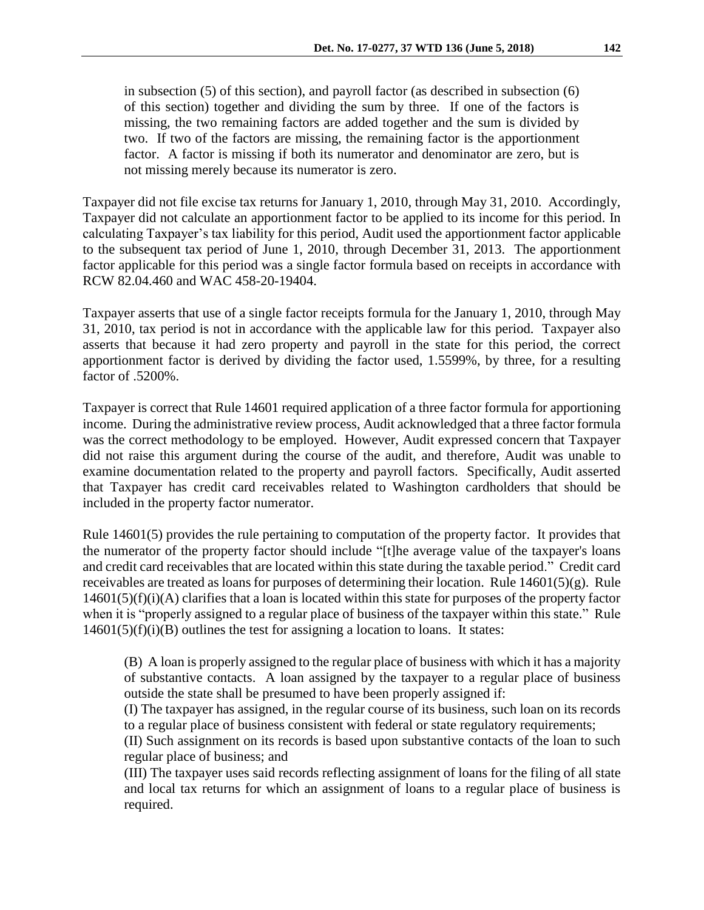in subsection (5) of this section), and payroll factor (as described in subsection (6) of this section) together and dividing the sum by three. If one of the factors is missing, the two remaining factors are added together and the sum is divided by two. If two of the factors are missing, the remaining factor is the apportionment factor. A factor is missing if both its numerator and denominator are zero, but is not missing merely because its numerator is zero.

Taxpayer did not file excise tax returns for January 1, 2010, through May 31, 2010. Accordingly, Taxpayer did not calculate an apportionment factor to be applied to its income for this period. In calculating Taxpayer's tax liability for this period, Audit used the apportionment factor applicable to the subsequent tax period of June 1, 2010, through December 31, 2013. The apportionment factor applicable for this period was a single factor formula based on receipts in accordance with RCW 82.04.460 and WAC 458-20-19404.

Taxpayer asserts that use of a single factor receipts formula for the January 1, 2010, through May 31, 2010, tax period is not in accordance with the applicable law for this period. Taxpayer also asserts that because it had zero property and payroll in the state for this period, the correct apportionment factor is derived by dividing the factor used, 1.5599%, by three, for a resulting factor of .5200%.

Taxpayer is correct that Rule 14601 required application of a three factor formula for apportioning income. During the administrative review process, Audit acknowledged that a three factor formula was the correct methodology to be employed. However, Audit expressed concern that Taxpayer did not raise this argument during the course of the audit, and therefore, Audit was unable to examine documentation related to the property and payroll factors. Specifically, Audit asserted that Taxpayer has credit card receivables related to Washington cardholders that should be included in the property factor numerator.

Rule 14601(5) provides the rule pertaining to computation of the property factor. It provides that the numerator of the property factor should include "[t]he average value of the taxpayer's loans and credit card receivables that are located within this state during the taxable period." Credit card receivables are treated as loans for purposes of determining their location. Rule 14601(5)(g). Rule  $14601(5)(f)(i)$ (A) clarifies that a loan is located within this state for purposes of the property factor when it is "properly assigned to a regular place of business of the taxpayer within this state." Rule  $14601(5)(f)(i)(B)$  outlines the test for assigning a location to loans. It states:

(B) A loan is properly assigned to the regular place of business with which it has a majority of substantive contacts. A loan assigned by the taxpayer to a regular place of business outside the state shall be presumed to have been properly assigned if:

(I) The taxpayer has assigned, in the regular course of its business, such loan on its records to a regular place of business consistent with federal or state regulatory requirements;

(II) Such assignment on its records is based upon substantive contacts of the loan to such regular place of business; and

(III) The taxpayer uses said records reflecting assignment of loans for the filing of all state and local tax returns for which an assignment of loans to a regular place of business is required.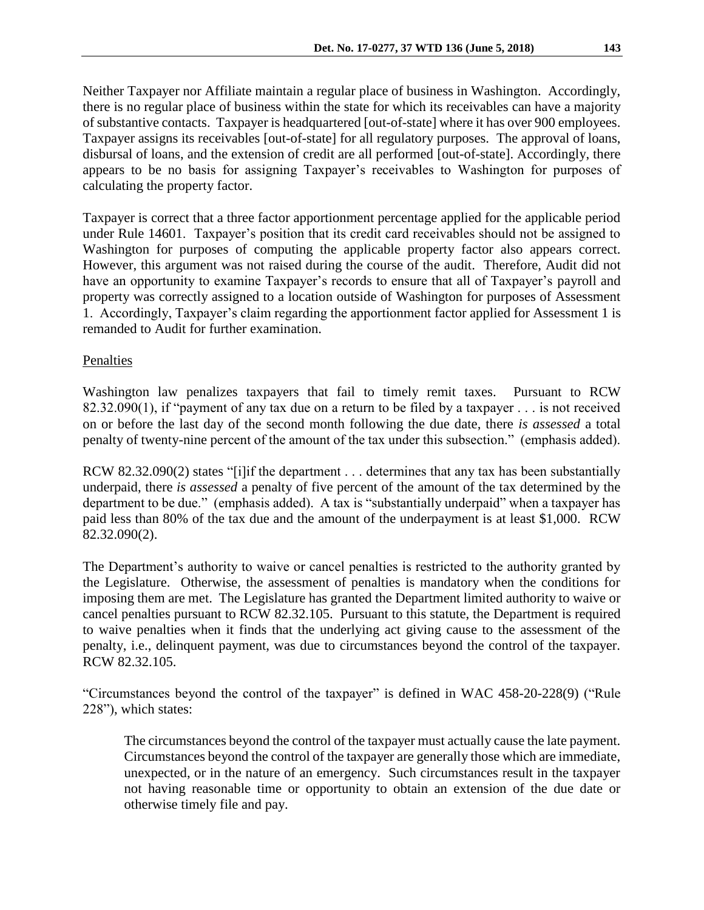Neither Taxpayer nor Affiliate maintain a regular place of business in Washington. Accordingly, there is no regular place of business within the state for which its receivables can have a majority of substantive contacts. Taxpayer is headquartered [out-of-state] where it has over 900 employees. Taxpayer assigns its receivables [out-of-state] for all regulatory purposes. The approval of loans, disbursal of loans, and the extension of credit are all performed [out-of-state]. Accordingly, there appears to be no basis for assigning Taxpayer's receivables to Washington for purposes of calculating the property factor.

Taxpayer is correct that a three factor apportionment percentage applied for the applicable period under Rule 14601. Taxpayer's position that its credit card receivables should not be assigned to Washington for purposes of computing the applicable property factor also appears correct. However, this argument was not raised during the course of the audit. Therefore, Audit did not have an opportunity to examine Taxpayer's records to ensure that all of Taxpayer's payroll and property was correctly assigned to a location outside of Washington for purposes of Assessment 1. Accordingly, Taxpayer's claim regarding the apportionment factor applied for Assessment 1 is remanded to Audit for further examination.

# Penalties

Washington law penalizes taxpayers that fail to timely remit taxes. Pursuant to RCW 82.32.090(1), if "payment of any tax due on a return to be filed by a taxpayer . . . is not received on or before the last day of the second month following the due date, there *is assessed* a total penalty of twenty-nine percent of the amount of the tax under this subsection." (emphasis added).

RCW 82.32.090(2) states "[i]if the department . . . determines that any tax has been substantially underpaid, there *is assessed* a penalty of five percent of the amount of the tax determined by the department to be due." (emphasis added). A tax is "substantially underpaid" when a taxpayer has paid less than 80% of the tax due and the amount of the underpayment is at least \$1,000. RCW 82.32.090(2).

The Department's authority to waive or cancel penalties is restricted to the authority granted by the Legislature. Otherwise, the assessment of penalties is mandatory when the conditions for imposing them are met. The Legislature has granted the Department limited authority to waive or cancel penalties pursuant to RCW 82.32.105. Pursuant to this statute, the Department is required to waive penalties when it finds that the underlying act giving cause to the assessment of the penalty, i.e., delinquent payment, was due to circumstances beyond the control of the taxpayer. RCW 82.32.105.

"Circumstances beyond the control of the taxpayer" is defined in WAC 458-20-228(9) ("Rule 228"), which states:

The circumstances beyond the control of the taxpayer must actually cause the late payment. Circumstances beyond the control of the taxpayer are generally those which are immediate, unexpected, or in the nature of an emergency. Such circumstances result in the taxpayer not having reasonable time or opportunity to obtain an extension of the due date or otherwise timely file and pay.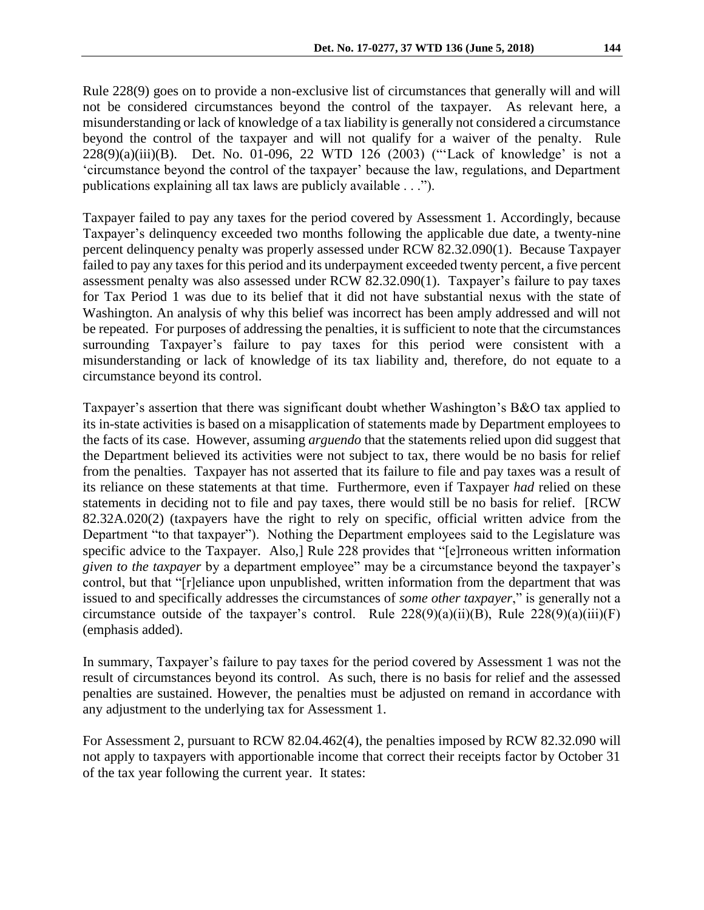Rule 228(9) goes on to provide a non-exclusive list of circumstances that generally will and will not be considered circumstances beyond the control of the taxpayer. As relevant here, a misunderstanding or lack of knowledge of a tax liability is generally not considered a circumstance beyond the control of the taxpayer and will not qualify for a waiver of the penalty. Rule 228(9)(a)(iii)(B). Det. No. 01-096, 22 WTD 126 (2003) ("'Lack of knowledge' is not a 'circumstance beyond the control of the taxpayer' because the law, regulations, and Department publications explaining all tax laws are publicly available . . .").

Taxpayer failed to pay any taxes for the period covered by Assessment 1. Accordingly, because Taxpayer's delinquency exceeded two months following the applicable due date, a twenty-nine percent delinquency penalty was properly assessed under RCW 82.32.090(1). Because Taxpayer failed to pay any taxes for this period and its underpayment exceeded twenty percent, a five percent assessment penalty was also assessed under RCW 82.32.090(1). Taxpayer's failure to pay taxes for Tax Period 1 was due to its belief that it did not have substantial nexus with the state of Washington. An analysis of why this belief was incorrect has been amply addressed and will not be repeated. For purposes of addressing the penalties, it is sufficient to note that the circumstances surrounding Taxpayer's failure to pay taxes for this period were consistent with a misunderstanding or lack of knowledge of its tax liability and, therefore, do not equate to a circumstance beyond its control.

Taxpayer's assertion that there was significant doubt whether Washington's B&O tax applied to its in-state activities is based on a misapplication of statements made by Department employees to the facts of its case. However, assuming *arguendo* that the statements relied upon did suggest that the Department believed its activities were not subject to tax, there would be no basis for relief from the penalties. Taxpayer has not asserted that its failure to file and pay taxes was a result of its reliance on these statements at that time. Furthermore, even if Taxpayer *had* relied on these statements in deciding not to file and pay taxes, there would still be no basis for relief. [RCW 82.32A.020(2) (taxpayers have the right to rely on specific, official written advice from the Department "to that taxpayer"). Nothing the Department employees said to the Legislature was specific advice to the Taxpayer. Also, Rule 228 provides that "[e]rroneous written information *given to the taxpayer* by a department employee" may be a circumstance beyond the taxpayer's control, but that "[r]eliance upon unpublished, written information from the department that was issued to and specifically addresses the circumstances of *some other taxpayer*," is generally not a circumstance outside of the taxpayer's control. Rule  $228(9)(a)(ii)(B)$ , Rule  $228(9)(a)(iii)(F)$ (emphasis added).

In summary, Taxpayer's failure to pay taxes for the period covered by Assessment 1 was not the result of circumstances beyond its control. As such, there is no basis for relief and the assessed penalties are sustained. However, the penalties must be adjusted on remand in accordance with any adjustment to the underlying tax for Assessment 1.

For Assessment 2, pursuant to RCW 82.04.462(4), the penalties imposed by RCW 82.32.090 will not apply to taxpayers with apportionable income that correct their receipts factor by October 31 of the tax year following the current year. It states: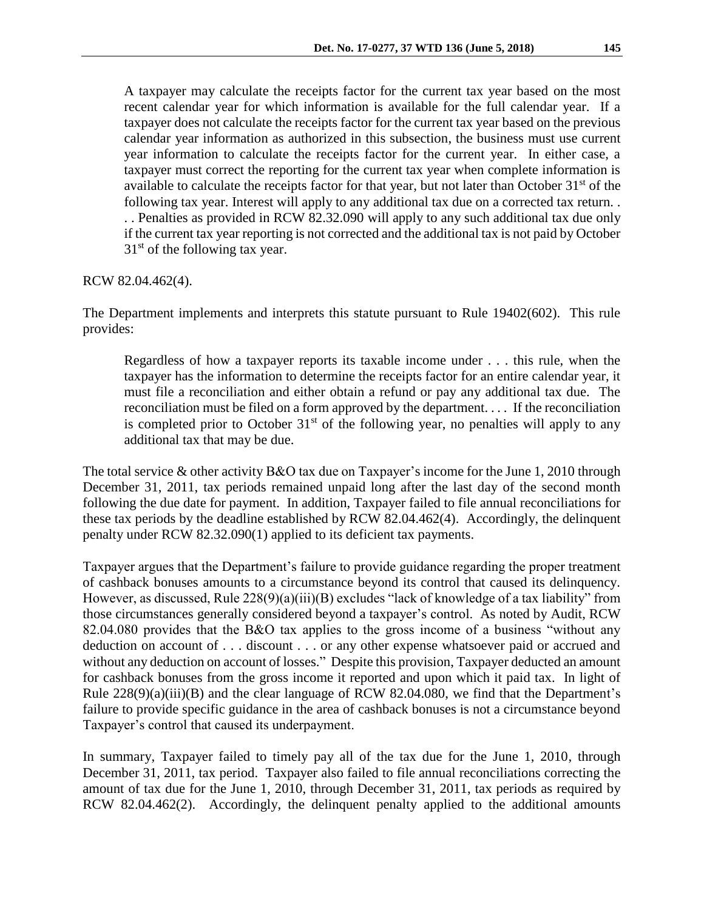A taxpayer may calculate the receipts factor for the current tax year based on the most recent calendar year for which information is available for the full calendar year. If a taxpayer does not calculate the receipts factor for the current tax year based on the previous calendar year information as authorized in this subsection, the business must use current year information to calculate the receipts factor for the current year. In either case, a taxpayer must correct the reporting for the current tax year when complete information is available to calculate the receipts factor for that year, but not later than October  $31<sup>st</sup>$  of the following tax year. Interest will apply to any additional tax due on a corrected tax return. . . . Penalties as provided in RCW 82.32.090 will apply to any such additional tax due only if the current tax year reporting is not corrected and the additional tax is not paid by October  $31<sup>st</sup>$  of the following tax year.

RCW 82.04.462(4).

The Department implements and interprets this statute pursuant to Rule 19402(602). This rule provides:

Regardless of how a taxpayer reports its taxable income under . . . this rule, when the taxpayer has the information to determine the receipts factor for an entire calendar year, it must file a reconciliation and either obtain a refund or pay any additional tax due. The reconciliation must be filed on a form approved by the department. . . . If the reconciliation is completed prior to October  $31<sup>st</sup>$  of the following year, no penalties will apply to any additional tax that may be due.

The total service & other activity B&O tax due on Taxpayer's income for the June 1, 2010 through December 31, 2011, tax periods remained unpaid long after the last day of the second month following the due date for payment. In addition, Taxpayer failed to file annual reconciliations for these tax periods by the deadline established by RCW 82.04.462(4). Accordingly, the delinquent penalty under RCW 82.32.090(1) applied to its deficient tax payments.

Taxpayer argues that the Department's failure to provide guidance regarding the proper treatment of cashback bonuses amounts to a circumstance beyond its control that caused its delinquency. However, as discussed, Rule 228(9)(a)(iii)(B) excludes "lack of knowledge of a tax liability" from those circumstances generally considered beyond a taxpayer's control. As noted by Audit, RCW 82.04.080 provides that the B&O tax applies to the gross income of a business "without any deduction on account of . . . discount . . . or any other expense whatsoever paid or accrued and without any deduction on account of losses." Despite this provision, Taxpayer deducted an amount for cashback bonuses from the gross income it reported and upon which it paid tax. In light of Rule 228(9)(a)(iii)(B) and the clear language of RCW 82.04.080, we find that the Department's failure to provide specific guidance in the area of cashback bonuses is not a circumstance beyond Taxpayer's control that caused its underpayment.

In summary, Taxpayer failed to timely pay all of the tax due for the June 1, 2010, through December 31, 2011, tax period. Taxpayer also failed to file annual reconciliations correcting the amount of tax due for the June 1, 2010, through December 31, 2011, tax periods as required by RCW 82.04.462(2). Accordingly, the delinquent penalty applied to the additional amounts